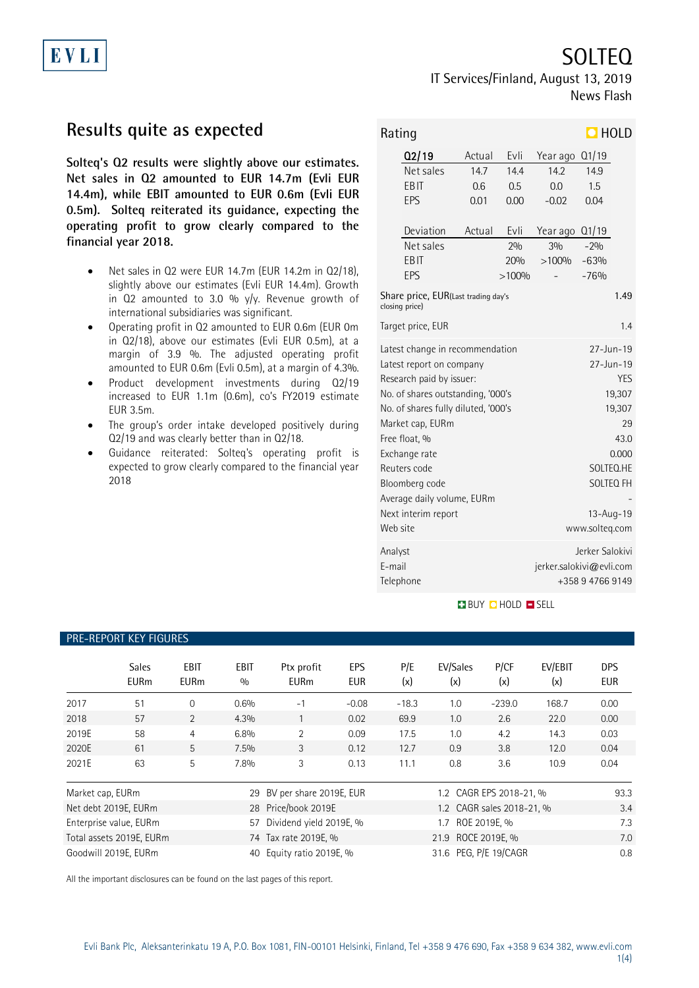

SOLTEQ

## IT Services/Finland, August 13, 2019 News Flash

# **Results quite as expected**

**Solteq's Q2 results were slightly above our estimates. Net sales in Q2 amounted to EUR 14.7m (Evli EUR 14.4m), while EBIT amounted to EUR 0.6m (Evli EUR 0.5m). Solteq reiterated its guidance, expecting the operating profit to grow clearly compared to the financial year 2018.**

- Net sales in Q2 were EUR 14.7m (EUR 14.2m in Q2/18), slightly above our estimates (Evli EUR 14.4m). Growth in Q2 amounted to 3.0 % y/y. Revenue growth of international subsidiaries was significant.
- Operating profit in Q2 amounted to EUR 0.6m (EUR 0m in Q2/18), above our estimates (Evli EUR 0.5m), at a margin of 3.9 %. The adjusted operating profit amounted to EUR 0.6m (Evli 0.5m), at a margin of 4.3%.
- Product development investments during Q2/19 increased to EUR 1.1m (0.6m), co's FY2019 estimate EUR 3.5m.
- The group's order intake developed positively during Q2/19 and was clearly better than in Q2/18.
- Guidance reiterated: Solteq's operating profit is expected to grow clearly compared to the financial year 2018

| $\Box$ HOLD<br>Rating                                 |                                     |                  |                                           |                 |        |  |
|-------------------------------------------------------|-------------------------------------|------------------|-------------------------------------------|-----------------|--------|--|
|                                                       | Q2/19                               | Actual           | Evli                                      | Year ago        | Q1/19  |  |
|                                                       | Net sales                           | 147              | 144                                       | 14.2            | 14.9   |  |
|                                                       | EBIT                                | 0.6              | 0.5                                       | 0.0             | 1.5    |  |
|                                                       | EPS                                 | 0.01             | 0.00                                      | $-0.02$         | 0.04   |  |
|                                                       | Deviation                           | Actual           | Evli                                      | Year ago        | Q1/19  |  |
|                                                       | Net sales                           |                  | 2%                                        | 3%              | $-2%$  |  |
|                                                       | EBIT                                |                  | 20%                                       | >100%           | $-63%$ |  |
|                                                       | EPS                                 |                  | >100%                                     |                 | $-76%$ |  |
| Share price, EUR(Last trading day's<br>closing price) |                                     |                  |                                           |                 |        |  |
| Target price, EUR<br>1.4                              |                                     |                  |                                           |                 |        |  |
|                                                       | Latest change in recommendation     |                  | 27-Jun-19                                 |                 |        |  |
|                                                       | Latest report on company            |                  | 27-Jun-19                                 |                 |        |  |
|                                                       | Research paid by issuer:            | <b>YES</b>       |                                           |                 |        |  |
|                                                       | No. of shares outstanding, '000's   | 19,307           |                                           |                 |        |  |
|                                                       | No. of shares fully diluted, '000's |                  |                                           | 19,307          |        |  |
|                                                       | Market cap, EURm                    |                  |                                           | 29              |        |  |
|                                                       | Free float, %                       |                  | 43.0                                      |                 |        |  |
|                                                       | Exchange rate                       | 0.000            |                                           |                 |        |  |
|                                                       | Reuters code                        | SOLTEO.HE        |                                           |                 |        |  |
|                                                       | Bloomberg code                      | <b>SOLTEQ FH</b> |                                           |                 |        |  |
|                                                       | Average daily volume, EURm          | $13 - Aug - 19$  |                                           |                 |        |  |
| Next interim report<br>Web site                       |                                     |                  |                                           | www.solteg.com  |        |  |
|                                                       |                                     |                  |                                           |                 |        |  |
| Analyst                                               |                                     |                  |                                           | Jerker Salokivi |        |  |
| F-mail                                                |                                     |                  | jerker.salokivi@evli.com<br>+358947669149 |                 |        |  |
|                                                       | Telephone                           |                  |                                           |                 |        |  |

### **BUY DHOLD SELL**

### PRE-REPORT KEY FIGURES

|                        | <b>Sales</b><br><b>EURm</b> | <b>EBIT</b><br><b>EURm</b> | <b>EBIT</b><br>0/0      | Ptx profit<br><b>EURm</b> | EPS<br><b>EUR</b> | P/E<br>(x) | EV/Sales<br>(x)         | P/CF<br>(x)               | EV/EBIT<br>(x) | <b>DPS</b><br><b>EUR</b> |
|------------------------|-----------------------------|----------------------------|-------------------------|---------------------------|-------------------|------------|-------------------------|---------------------------|----------------|--------------------------|
| 2017                   | 51                          | $\Omega$                   | 0.6%                    | $-1$                      | $-0.08$           | $-18.3$    | 1.0                     | $-239.0$                  | 168.7          | 0.00                     |
| 2018                   | 57                          | 2                          | 4.3%                    |                           | 0.02              | 69.9       | 1.0                     | 2.6                       | 22.0           | 0.00                     |
| 2019E                  | 58                          | 4                          | 6.8%                    | $\overline{2}$            | 0.09              | 17.5       | 1.0                     | 4.2                       | 14.3           | 0.03                     |
| 2020E                  | 61                          | 5                          | 7.5%                    | 3                         | 0.12              | 12.7       | 0.9                     | 3.8                       | 12.0           | 0.04                     |
| 2021E                  | 63                          | 5                          | 7.8%                    | 3                         | 0.13              | 11.1       | 0.8                     | 3.6                       | 10.9           | 0.04                     |
| Market cap, EURm<br>29 |                             |                            | BV per share 2019E, EUR |                           |                   |            | 1.2 CAGR EPS 2018-21, % |                           | 93.3           |                          |
|                        | Net debt 2019E, EURm        |                            |                         | 28 Price/book 2019E       |                   |            |                         | 1.2 CAGR sales 2018-21, % |                | 3.4                      |
|                        | Enterprise value, EURm      |                            | 57                      | Dividend yield 2019E, %   |                   |            | 1.7                     | ROE 2019E, %              |                | 7.3                      |
|                        | Total assets 2019E, EURm    |                            |                         | 74 Tax rate 2019E, %      |                   |            | 21.9 ROCE 2019E, %      |                           |                | 7.0                      |
|                        | Goodwill 2019E, EURm        |                            | 40                      | Equity ratio 2019E, %     |                   |            | 31.6 PEG, P/E 19/CAGR   |                           |                | 0.8                      |

All the important disclosures can be found on the last pages of this report.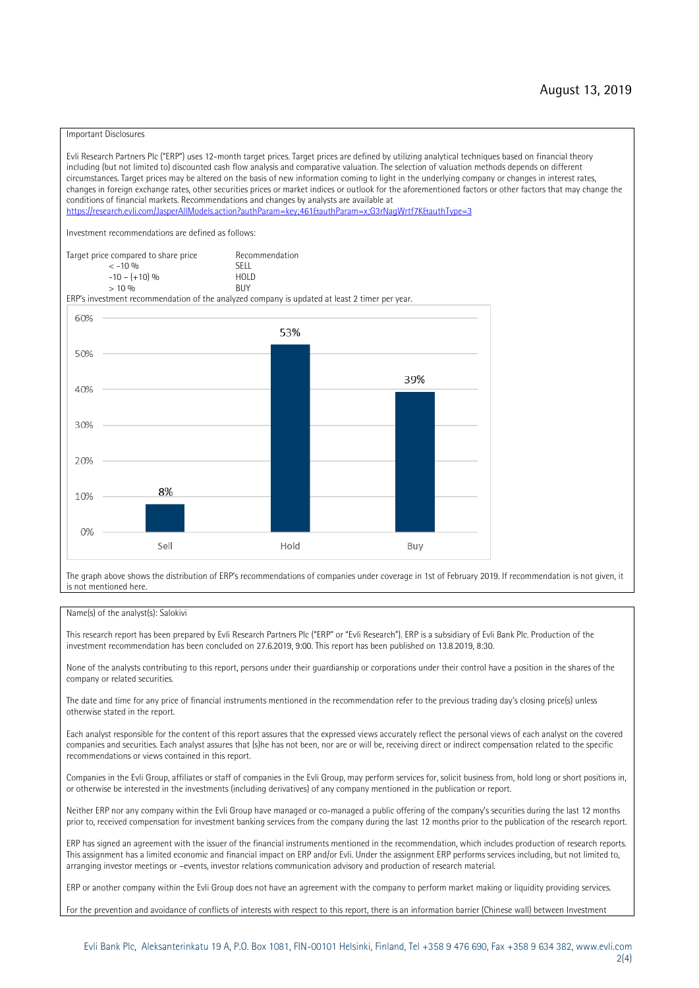#### Important Disclosures

Evli Research Partners Plc ("ERP") uses 12-month target prices. Target prices are defined by utilizing analytical techniques based on financial theory including (but not limited to) discounted cash flow analysis and comparative valuation. The selection of valuation methods depends on different circumstances. Target prices may be altered on the basis of new information coming to light in the underlying company or changes in interest rates, changes in foreign exchange rates, other securities prices or market indices or outlook for the aforementioned factors or other factors that may change the conditions of financial markets. Recommendations and changes by analysts are available at https://research.evli.com/JasperAllModels.action?authParam=key;461&tauthParam=x;G3rNagWrtf7K&tauthType=3 Investment recommendations are defined as follows: Target price compared to share price Recommendation<br>  $\epsilon$  -10 % < -10 % SELL  $-10 - (+10) \%$  HOL<br>  $> 10 \%$  RIJY  $> 10 \frac{0}{0}$ ERP's investment recommendation of the analyzed company is updated at least 2 timer per year. 60% 53% 50% 39% 40% 30% 20% 8% 10% 0% Sell Hold Buy

The graph above shows the distribution of ERP's recommendations of companies under coverage in 1st of February 2019. If recommendation is not given, it is not mentioned here.

#### Name(s) of the analyst(s): Salokivi

This research report has been prepared by Evli Research Partners Plc ("ERP" or "Evli Research"). ERP is a subsidiary of Evli Bank Plc. Production of the investment recommendation has been concluded on 27.6.2019, 9:00. This report has been published on 13.8.2019, 8:30.

None of the analysts contributing to this report, persons under their guardianship or corporations under their control have a position in the shares of the company or related securities.

The date and time for any price of financial instruments mentioned in the recommendation refer to the previous trading day's closing price(s) unless otherwise stated in the report.

Each analyst responsible for the content of this report assures that the expressed views accurately reflect the personal views of each analyst on the covered companies and securities. Each analyst assures that (s)he has not been, nor are or will be, receiving direct or indirect compensation related to the specific recommendations or views contained in this report.

Companies in the Evli Group, affiliates or staff of companies in the Evli Group, may perform services for, solicit business from, hold long or short positions in, or otherwise be interested in the investments (including derivatives) of any company mentioned in the publication or report.

Neither ERP nor any company within the Evli Group have managed or co-managed a public offering of the company's securities during the last 12 months prior to, received compensation for investment banking services from the company during the last 12 months prior to the publication of the research report.

ERP has signed an agreement with the issuer of the financial instruments mentioned in the recommendation, which includes production of research reports. This assignment has a limited economic and financial impact on ERP and/or Evli. Under the assignment ERP performs services including, but not limited to, arranging investor meetings or –events, investor relations communication advisory and production of research material.

ERP or another company within the Evli Group does not have an agreement with the company to perform market making or liquidity providing services.

For the prevention and avoidance of conflicts of interests with respect to this report, there is an information barrier (Chinese wall) between Investment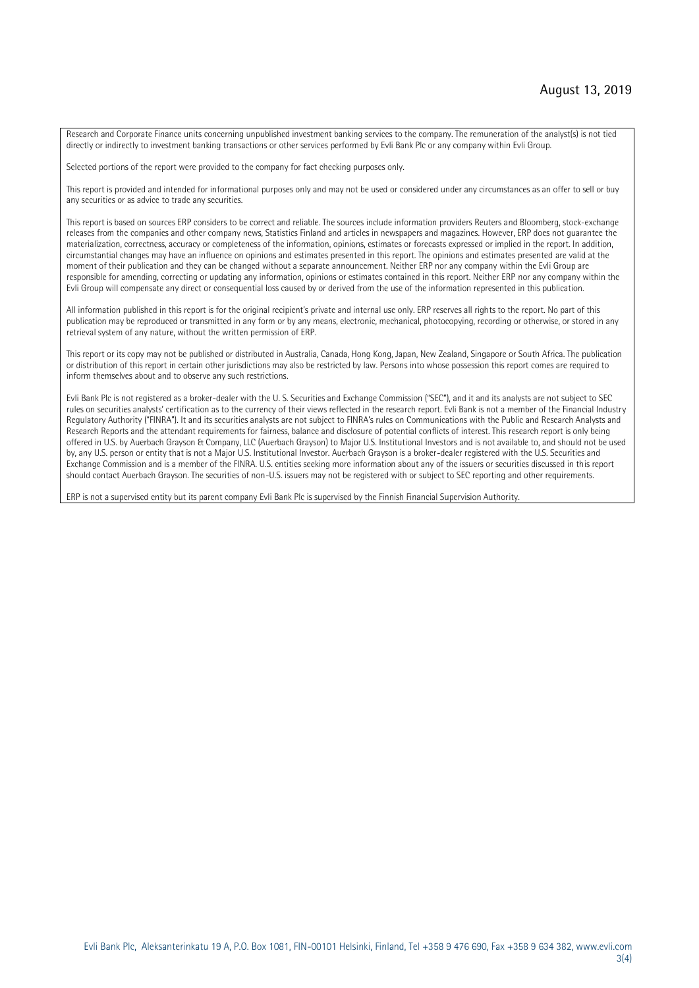Research and Corporate Finance units concerning unpublished investment banking services to the company. The remuneration of the analyst(s) is not tied directly or indirectly to investment banking transactions or other services performed by Evli Bank Plc or any company within Evli Group.

Selected portions of the report were provided to the company for fact checking purposes only.

This report is provided and intended for informational purposes only and may not be used or considered under any circumstances as an offer to sell or buy any securities or as advice to trade any securities.

This report is based on sources ERP considers to be correct and reliable. The sources include information providers Reuters and Bloomberg, stock-exchange releases from the companies and other company news, Statistics Finland and articles in newspapers and magazines. However, ERP does not guarantee the materialization, correctness, accuracy or completeness of the information, opinions, estimates or forecasts expressed or implied in the report. In addition, circumstantial changes may have an influence on opinions and estimates presented in this report. The opinions and estimates presented are valid at the moment of their publication and they can be changed without a separate announcement. Neither ERP nor any company within the Evli Group are responsible for amending, correcting or updating any information, opinions or estimates contained in this report. Neither ERP nor any company within the Evli Group will compensate any direct or consequential loss caused by or derived from the use of the information represented in this publication.

All information published in this report is for the original recipient's private and internal use only. ERP reserves all rights to the report. No part of this publication may be reproduced or transmitted in any form or by any means, electronic, mechanical, photocopying, recording or otherwise, or stored in any retrieval system of any nature, without the written permission of ERP.

This report or its copy may not be published or distributed in Australia, Canada, Hong Kong, Japan, New Zealand, Singapore or South Africa. The publication or distribution of this report in certain other jurisdictions may also be restricted by law. Persons into whose possession this report comes are required to inform themselves about and to observe any such restrictions.

Evli Bank Plc is not registered as a broker-dealer with the U. S. Securities and Exchange Commission ("SEC"), and it and its analysts are not subject to SEC rules on securities analysts' certification as to the currency of their views reflected in the research report. Evli Bank is not a member of the Financial Industry Regulatory Authority ("FINRA"). It and its securities analysts are not subject to FINRA's rules on Communications with the Public and Research Analysts and Research Reports and the attendant requirements for fairness, balance and disclosure of potential conflicts of interest. This research report is only being offered in U.S. by Auerbach Grayson & Company, LLC (Auerbach Grayson) to Major U.S. Institutional Investors and is not available to, and should not be used by, any U.S. person or entity that is not a Major U.S. Institutional Investor. Auerbach Grayson is a broker-dealer registered with the U.S. Securities and Exchange Commission and is a member of the FINRA. U.S. entities seeking more information about any of the issuers or securities discussed in this report should contact Auerbach Grayson. The securities of non-U.S. issuers may not be registered with or subject to SEC reporting and other requirements.

ERP is not a supervised entity but its parent company Evli Bank Plc is supervised by the Finnish Financial Supervision Authority.